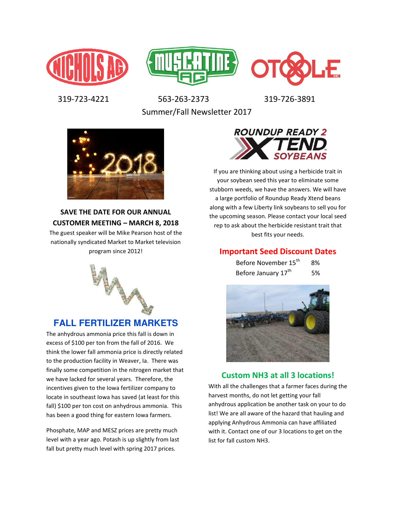





 319-723-4221 563-263-2373 319-726-3891 Summer/Fall Newsletter 2017



### **SAVE THE DATE FOR OUR ANNUAL CUSTOMER MEETING – MARCH 8, 2018**

The guest speaker will be Mike Pearson host of the nationally syndicated Market to Market television program since 2012!



# **FALL FERTILIZER MARKETS**

The anhydrous ammonia price this fall is down in excess of \$100 per ton from the fall of 2016. We think the lower fall ammonia price is directly related to the production facility in Weaver, Ia. There was finally some competition in the nitrogen market that we have lacked for several years. Therefore, the incentives given to the Iowa fertilizer company to locate in southeast Iowa has saved (at least for this fall) \$100 per ton cost on anhydrous ammonia. This has been a good thing for eastern Iowa farmers.

Phosphate, MAP and MESZ prices are pretty much level with a year ago. Potash is up slightly from last fall but pretty much level with spring 2017 prices.



If you are thinking about using a herbicide trait in your soybean seed this year to eliminate some stubborn weeds, we have the answers. We will have a large portfolio of Roundup Ready Xtend beans along with a few Liberty link soybeans to sell you for the upcoming season. Please contact your local seed rep to ask about the herbicide resistant trait that best fits your needs.

### **Important Seed Discount Dates**

| Before November 15 <sup>th</sup> | 8% |
|----------------------------------|----|
| Before January 17 <sup>th</sup>  | 5% |



## **Custom NH3 at all 3 locations!**

With all the challenges that a farmer faces during the harvest months, do not let getting your fall anhydrous application be another task on your to do list! We are all aware of the hazard that hauling and applying Anhydrous Ammonia can have affiliated with it. Contact one of our 3 locations to get on the list for fall custom NH3.